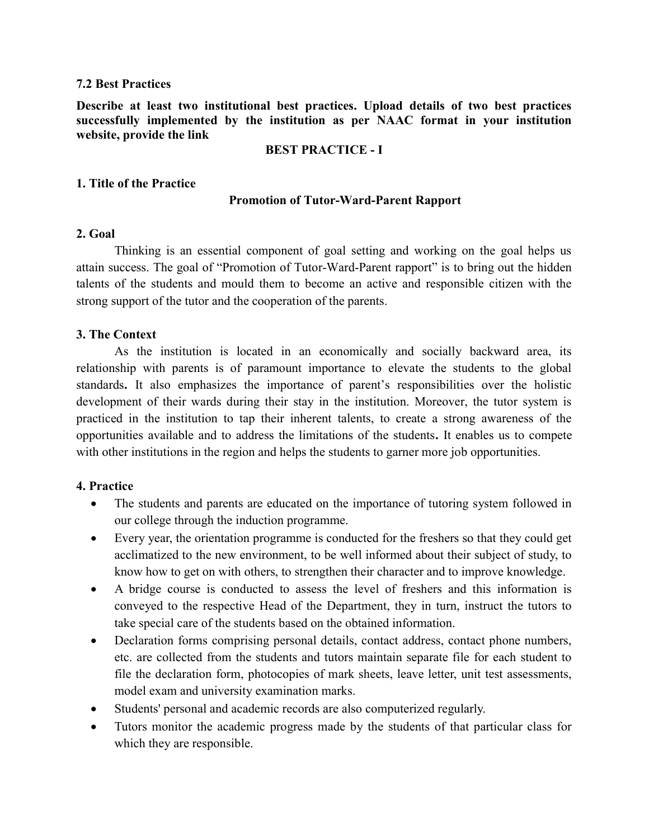### 7.2 Best Practices

Describe at least two institutional best practices. Upload details of two best practices successfully implemented by the institution as per NAAC format in your institution website, provide the link

### BEST PRACTICE - I

### 1. Title of the Practice

#### Promotion of Tutor-Ward-Parent Rapport

### 2. Goal

Thinking is an essential component of goal setting and working on the goal helps us attain success. The goal of "Promotion of Tutor-Ward-Parent rapport" is to bring out the hidden talents of the students and mould them to become an active and responsible citizen with the strong support of the tutor and the cooperation of the parents.

### 3. The Context

As the institution is located in an economically and socially backward area, its relationship with parents is of paramount importance to elevate the students to the global standards. It also emphasizes the importance of parent's responsibilities over the holistic development of their wards during their stay in the institution. Moreover, the tutor system is practiced in the institution to tap their inherent talents, to create a strong awareness of the opportunities available and to address the limitations of the students. It enables us to compete with other institutions in the region and helps the students to garner more job opportunities.

### 4. Practice

- The students and parents are educated on the importance of tutoring system followed in our college through the induction programme.
- Every year, the orientation programme is conducted for the freshers so that they could get acclimatized to the new environment, to be well informed about their subject of study, to know how to get on with others, to strengthen their character and to improve knowledge.
- A bridge course is conducted to assess the level of freshers and this information is conveyed to the respective Head of the Department, they in turn, instruct the tutors to take special care of the students based on the obtained information.
- Declaration forms comprising personal details, contact address, contact phone numbers, etc. are collected from the students and tutors maintain separate file for each student to file the declaration form, photocopies of mark sheets, leave letter, unit test assessments, model exam and university examination marks.
- Students' personal and academic records are also computerized regularly.
- Tutors monitor the academic progress made by the students of that particular class for which they are responsible.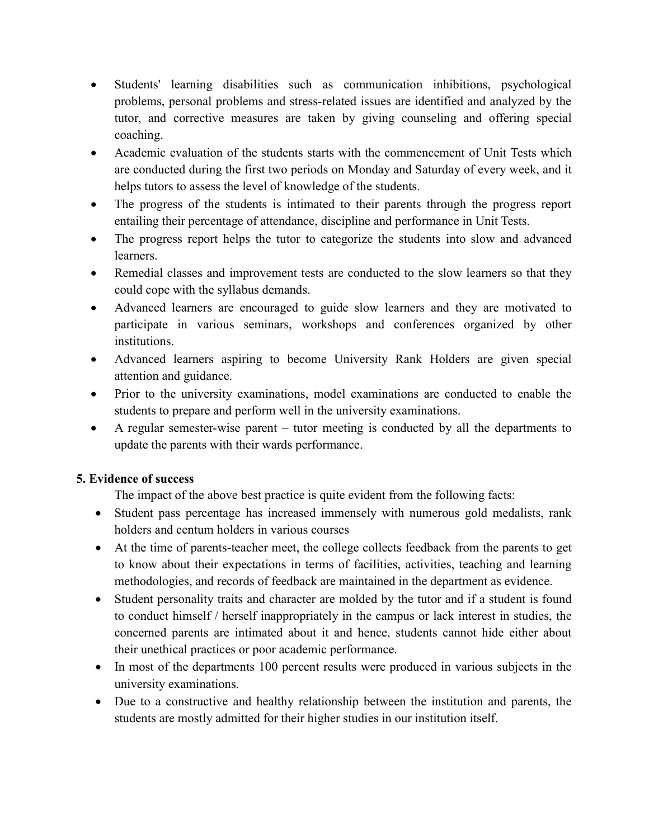- Students' learning disabilities such as communication inhibitions, psychological problems, personal problems and stress-related issues are identified and analyzed by the tutor, and corrective measures are taken by giving counseling and offering special coaching.
- Academic evaluation of the students starts with the commencement of Unit Tests which are conducted during the first two periods on Monday and Saturday of every week, and it helps tutors to assess the level of knowledge of the students.
- The progress of the students is intimated to their parents through the progress report entailing their percentage of attendance, discipline and performance in Unit Tests.
- The progress report helps the tutor to categorize the students into slow and advanced learners.
- Remedial classes and improvement tests are conducted to the slow learners so that they could cope with the syllabus demands.
- Advanced learners are encouraged to guide slow learners and they are motivated to participate in various seminars, workshops and conferences organized by other institutions.
- Advanced learners aspiring to become University Rank Holders are given special attention and guidance.
- Prior to the university examinations, model examinations are conducted to enable the students to prepare and perform well in the university examinations.
- A regular semester-wise parent tutor meeting is conducted by all the departments to update the parents with their wards performance.

## 5. Evidence of success

The impact of the above best practice is quite evident from the following facts:

- Student pass percentage has increased immensely with numerous gold medalists, rank holders and centum holders in various courses
- At the time of parents-teacher meet, the college collects feedback from the parents to get to know about their expectations in terms of facilities, activities, teaching and learning methodologies, and records of feedback are maintained in the department as evidence.
- Student personality traits and character are molded by the tutor and if a student is found to conduct himself / herself inappropriately in the campus or lack interest in studies, the concerned parents are intimated about it and hence, students cannot hide either about their unethical practices or poor academic performance.
- In most of the departments 100 percent results were produced in various subjects in the university examinations.
- Due to a constructive and healthy relationship between the institution and parents, the students are mostly admitted for their higher studies in our institution itself.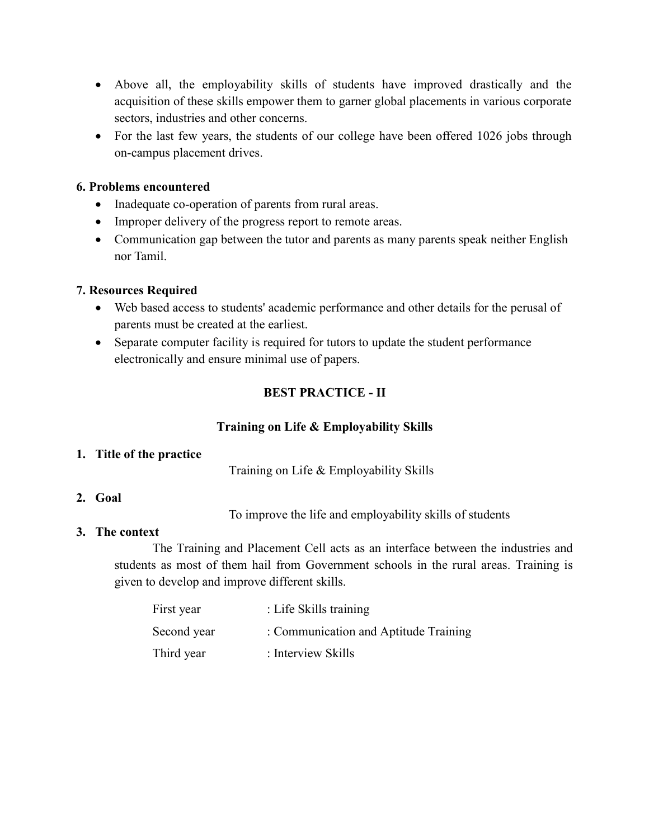- Above all, the employability skills of students have improved drastically and the acquisition of these skills empower them to garner global placements in various corporate sectors, industries and other concerns.
- For the last few years, the students of our college have been offered 1026 jobs through on-campus placement drives.

### 6. Problems encountered

- Inadequate co-operation of parents from rural areas.
- Improper delivery of the progress report to remote areas.
- Communication gap between the tutor and parents as many parents speak neither English nor Tamil.

## 7. Resources Required

- Web based access to students' academic performance and other details for the perusal of parents must be created at the earliest.
- Separate computer facility is required for tutors to update the student performance electronically and ensure minimal use of papers.

## BEST PRACTICE - II

## Training on Life & Employability Skills

## 1. Title of the practice

Training on Life & Employability Skills

## 2. Goal

To improve the life and employability skills of students

## 3. The context

The Training and Placement Cell acts as an interface between the industries and students as most of them hail from Government schools in the rural areas. Training is given to develop and improve different skills.

| First year  | : Life Skills training                |
|-------------|---------------------------------------|
| Second year | : Communication and Aptitude Training |
| Third year  | : Interview Skills                    |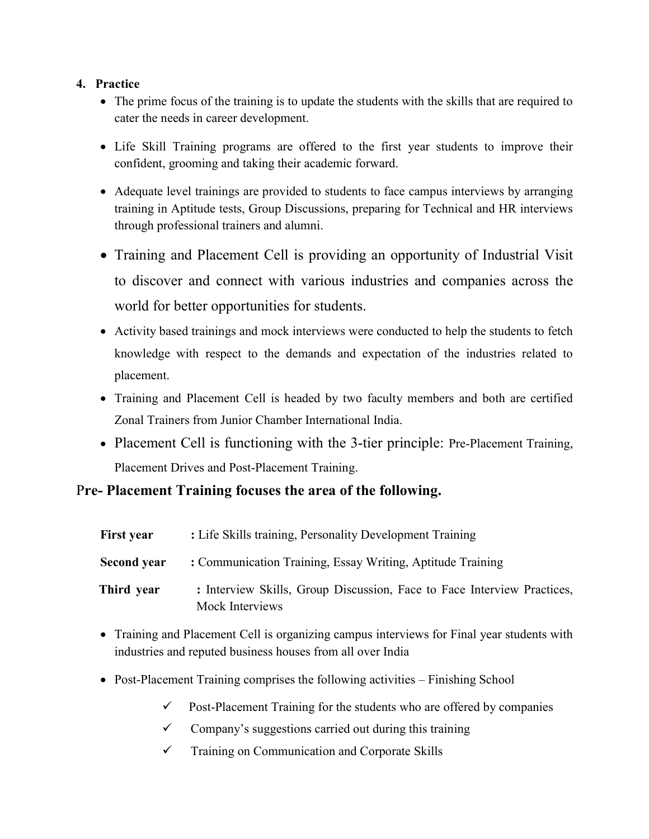## 4. Practice

- The prime focus of the training is to update the students with the skills that are required to cater the needs in career development.
- Life Skill Training programs are offered to the first year students to improve their confident, grooming and taking their academic forward.
- Adequate level trainings are provided to students to face campus interviews by arranging training in Aptitude tests, Group Discussions, preparing for Technical and HR interviews through professional trainers and alumni.
- Training and Placement Cell is providing an opportunity of Industrial Visit to discover and connect with various industries and companies across the world for better opportunities for students.
- Activity based trainings and mock interviews were conducted to help the students to fetch knowledge with respect to the demands and expectation of the industries related to placement.
- Training and Placement Cell is headed by two faculty members and both are certified Zonal Trainers from Junior Chamber International India.
- Placement Cell is functioning with the 3-tier principle: Pre-Placement Training, Placement Drives and Post-Placement Training.

# Pre- Placement Training focuses the area of the following.

| <b>First year</b> | : Life Skills training, Personality Development Training                                   |
|-------------------|--------------------------------------------------------------------------------------------|
| Second year       | : Communication Training, Essay Writing, Aptitude Training                                 |
| Third year        | : Interview Skills, Group Discussion, Face to Face Interview Practices,<br>Mock Interviews |

- Training and Placement Cell is organizing campus interviews for Final year students with industries and reputed business houses from all over India
- Post-Placement Training comprises the following activities Finishing School
	- $\checkmark$  Post-Placement Training for the students who are offered by companies
	- $\checkmark$  Company's suggestions carried out during this training
	- $\checkmark$  Training on Communication and Corporate Skills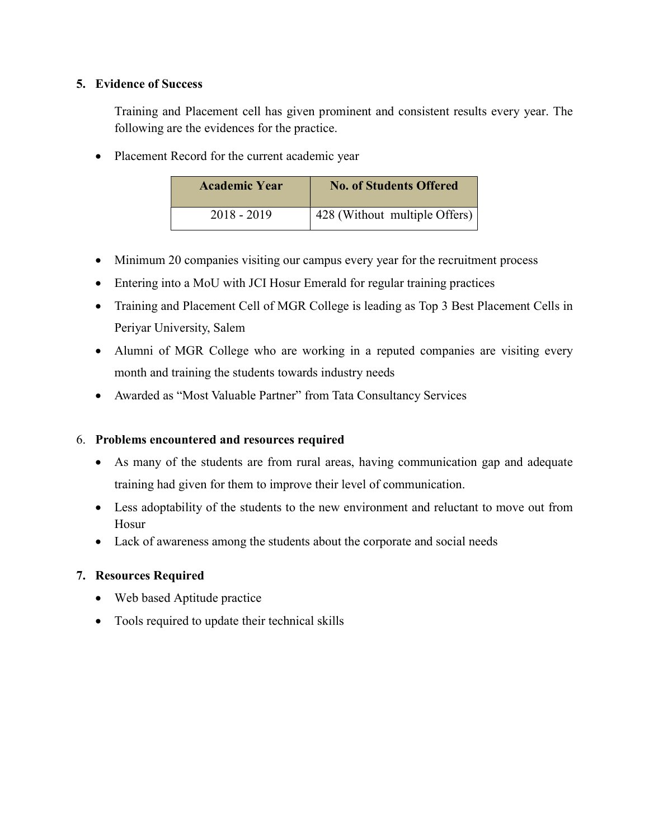## 5. Evidence of Success

Training and Placement cell has given prominent and consistent results every year. The following are the evidences for the practice.

• Placement Record for the current academic year

| <b>Academic Year</b> | <b>No. of Students Offered</b> |
|----------------------|--------------------------------|
| 2018 - 2019          | 428 (Without multiple Offers)  |

- Minimum 20 companies visiting our campus every year for the recruitment process
- Entering into a MoU with JCI Hosur Emerald for regular training practices
- Training and Placement Cell of MGR College is leading as Top 3 Best Placement Cells in Periyar University, Salem
- Alumni of MGR College who are working in a reputed companies are visiting every month and training the students towards industry needs
- Awarded as "Most Valuable Partner" from Tata Consultancy Services

## 6. Problems encountered and resources required

- As many of the students are from rural areas, having communication gap and adequate training had given for them to improve their level of communication.
- Less adoptability of the students to the new environment and reluctant to move out from Hosur
- Lack of awareness among the students about the corporate and social needs

## 7. Resources Required

- Web based Aptitude practice
- Tools required to update their technical skills